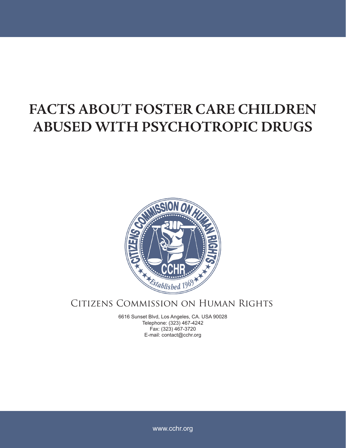## **FACTS ABOUT FOSTER CARE CHILDREN ABUSED WITH PSYCHOTROPIC DRUGS**



## Citizens Commission on Human Rights

6616 Sunset Blvd, Los Angeles, CA. USA 90028 Telephone: (323) 467-4242 Fax: (323) 467-3720 E-mail: contact@cchr.org

www.cchr.org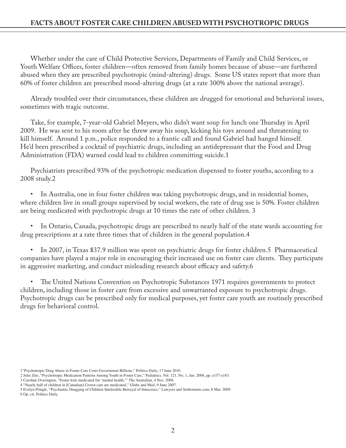Whether under the care of Child Protective Services, Departments of Family and Child Services, or Youth Welfare Offices, foster children—often removed from family homes because of abuse—are furthered abused when they are prescribed psychotropic (mind-altering) drugs. Some US states report that more than 60% of foster children are prescribed mood-altering drugs (at a rate 300% above the national average).

Already troubled over their circumstances, these children are drugged for emotional and behavioral issues, sometimes with tragic outcome.

Take, for example, 7-year-old Gabriel Meyers, who didn't want soup for lunch one Thursday in April 2009. He was sent to his room after he threw away his soup, kicking his toys around and threatening to kill himself. Around 1 p.m., police responded to a frantic call and found Gabriel had hanged himself. He'd been prescribed a cocktail of psychiatric drugs, including an antidepressant that the Food and Drug Administration (FDA) warned could lead to children committing suicide.1

Psychiatrists prescribed 93% of the psychotropic medication dispensed to foster youths, according to a 2008 study.2

• In Australia, one in four foster children was taking psychotropic drugs, and in residential homes, where children live in small groups supervised by social workers, the rate of drug use is 50%. Foster children are being medicated with psychotropic drugs at 10 times the rate of other children. 3

In Ontario, Canada, psychotropic drugs are prescribed to nearly half of the state wards accounting for drug prescriptions at a rate three times that of children in the general population.4

• In 2007, in Texas \$37.9 million was spent on psychiatric drugs for foster children.5 Pharmaceutical companies have played a major role in encouraging their increased use on foster care clients. They participate in aggressive marketing, and conduct misleading research about efficacy and safety.6

• The United Nations Convention on Psychotropic Substances 1971 requires governments to protect children, including those in foster care from excessive and unwarranted exposure to psychotropic drugs. Psychotropic drugs can be prescribed only for medical purposes, yet foster care youth are routinely prescribed drugs for behavioral control.

<sup>1&</sup>quot;Psychotropic Drug Abuse in Foster Care Costs Government Billions," Politics Daily, 17 June 2010.

<sup>2</sup> Julie Zito, "Psychotropic Medication Patterns Among Youth in Foster Care," Pediatrics, Vol. 121, No. 1, Jan. 2008, pp. e157-e163.

<sup>3</sup> Caroline Overington, "Foster kids medicated for 'mental health,'" The Australian, 4 Nov. 2008.

<sup>4 &</sup>quot;Nearly half of children in [Canadian] Crown care are medicated," Globe and Mail, 9 June 2007.

<sup>5</sup> Evelyn Pringle, "Psychiatric Drugging of Children Intolerable-Betrayal of Innocence," Lawyers and Settlements.com, 8 Mar. 2009. 6 Op. cit. Politics Daily.